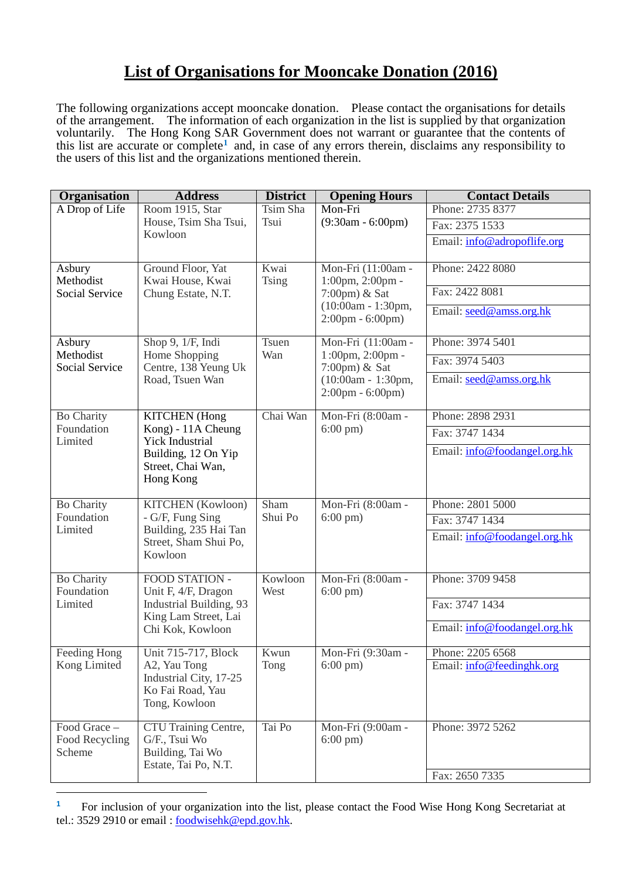## **List of Organisations for Mooncake Donation (2016)**

The following organizations accept mooncake donation. Please contact the organisations for details of the arrangement. The information of each organization in the list is supplied by that organization voluntarily. The Hong Kong SAR Government does not warrant or guarantee that the contents of this list are accurate or complete**[1](#page-0-0)** and, in case of any errors therein, disclaims any responsibility to the users of this list and the organizations mentioned therein.

| Organisation                                 | <b>Address</b>                                                                              | <b>District</b>      | <b>Opening Hours</b>                                                                                                                   | <b>Contact Details</b>                        |
|----------------------------------------------|---------------------------------------------------------------------------------------------|----------------------|----------------------------------------------------------------------------------------------------------------------------------------|-----------------------------------------------|
| A Drop of Life                               | Room 1915, Star<br>House, Tsim Sha Tsui,                                                    | Tsim Sha<br>Tsui     | Mon-Fri<br>$(9:30am - 6:00pm)$                                                                                                         | Phone: 2735 8377                              |
|                                              |                                                                                             |                      |                                                                                                                                        | Fax: 2375 1533                                |
|                                              | Kowloon                                                                                     |                      |                                                                                                                                        | Email: info@adropoflife.org                   |
| Asbury<br>Methodist<br><b>Social Service</b> | Ground Floor, Yat<br>Kwai House, Kwai<br>Chung Estate, N.T.                                 | Kwai<br><b>Tsing</b> | Mon-Fri (11:00am -<br>$1:00 \text{pm}, 2:00 \text{pm}$ -<br>7:00pm) & Sat<br>$(10:00am - 1:30pm,$<br>$2:00 \text{pm} - 6:00 \text{pm}$ | Phone: 2422 8080                              |
|                                              |                                                                                             |                      |                                                                                                                                        | Fax: 2422 8081                                |
|                                              |                                                                                             |                      |                                                                                                                                        | Email: seed@amss.org.hk                       |
| Asbury<br>Methodist<br><b>Social Service</b> | Shop 9, 1/F, Indi<br>Home Shopping<br>Centre, 138 Yeung Uk<br>Road, Tsuen Wan               | <b>Tsuen</b><br>Wan  | Mon-Fri (11:00am -<br>1:00pm, 2:00pm -<br>$7:00 \text{pm}$ ) & Sat<br>$(10:00am - 1:30pm,$                                             | Phone: 3974 5401                              |
|                                              |                                                                                             |                      |                                                                                                                                        | Fax: 3974 5403                                |
|                                              |                                                                                             |                      |                                                                                                                                        | Email: seed@amss.org.hk                       |
|                                              |                                                                                             |                      | $2:00 \text{pm} - 6:00 \text{pm}$                                                                                                      |                                               |
| <b>Bo Charity</b><br>Foundation<br>Limited   | <b>KITCHEN</b> (Hong<br>Kong) - 11A Cheung<br><b>Yick Industrial</b><br>Building, 12 On Yip | Chai Wan             | Mon-Fri (8:00am -<br>$6:00 \text{ pm}$ )                                                                                               | Phone: 2898 2931                              |
|                                              |                                                                                             |                      |                                                                                                                                        | Fax: 3747 1434                                |
|                                              |                                                                                             |                      |                                                                                                                                        | Email: info@foodangel.org.hk                  |
|                                              | Street, Chai Wan,<br>Hong Kong                                                              |                      |                                                                                                                                        |                                               |
| <b>Bo Charity</b><br>Foundation              | <b>KITCHEN</b> (Kowloon)<br>- G/F, Fung Sing                                                | Sham<br>Shui Po      | Mon-Fri (8:00am -<br>$6:00 \text{ pm}$ )                                                                                               | Phone: 2801 5000                              |
|                                              |                                                                                             |                      |                                                                                                                                        | Fax: 3747 1434                                |
| Limited                                      | Building, 235 Hai Tan<br>Street, Sham Shui Po,                                              |                      |                                                                                                                                        | Email: info@foodangel.org.hk                  |
|                                              | Kowloon                                                                                     |                      |                                                                                                                                        |                                               |
| <b>Bo Charity</b>                            | FOOD STATION -                                                                              | Kowloon              | Mon-Fri (8:00am -<br>$6:00 \text{ pm}$ )                                                                                               | Phone: 3709 9458                              |
| Foundation<br>Limited                        | Unit F, 4/F, Dragon<br>Industrial Building, 93                                              | West                 |                                                                                                                                        | Fax: 3747 1434                                |
|                                              | King Lam Street, Lai<br>Chi Kok, Kowloon                                                    |                      |                                                                                                                                        | Email: info@foodangel.org.hk                  |
|                                              |                                                                                             |                      |                                                                                                                                        |                                               |
| Feeding Hong<br>Kong Limited                 | Unit 715-717, Block<br>A2, Yau Tong                                                         | Kwun<br>Tong         | Mon-Fri (9:30am -<br>$6:00 \text{ pm}$ )                                                                                               | Phone: 2205 6568<br>Email: info@feedinghk.org |
|                                              | Industrial City, 17-25                                                                      |                      |                                                                                                                                        |                                               |
|                                              | Ko Fai Road, Yau<br>Tong, Kowloon                                                           |                      |                                                                                                                                        |                                               |
|                                              |                                                                                             |                      |                                                                                                                                        |                                               |
| Food Grace -<br>Food Recycling               | CTU Training Centre,<br>G/F., Tsui Wo                                                       | Tai Po               | Mon-Fri (9:00am -<br>$6:00 \text{ pm}$ )                                                                                               | Phone: 3972 5262                              |
| Scheme                                       | Building, Tai Wo                                                                            |                      |                                                                                                                                        |                                               |
|                                              | Estate, Tai Po, N.T.                                                                        |                      |                                                                                                                                        | Fax: 2650 7335                                |
|                                              |                                                                                             |                      |                                                                                                                                        |                                               |

<span id="page-0-0"></span><sup>&</sup>lt;sup>1</sup> For inclusion of your organization into the list, please contact the Food Wise Hong Kong Secretariat at tel.: 3529 2910 or email : [foodwisehk@epd.gov.hk.](mailto:foodwisehk@epd.gov.hk)

1